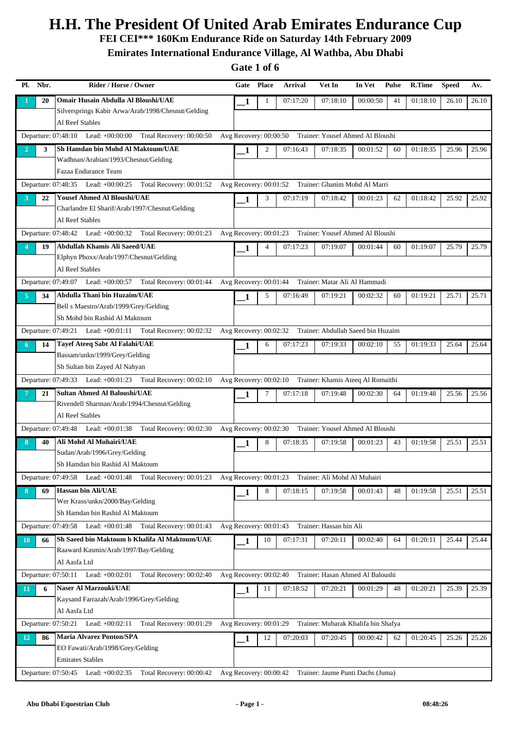**FEI CEI\*\*\* 160Km Endurance Ride on Saturday 14th February 2009**

**Emirates International Endurance Village, Al Wathba, Abu Dhabi**

|                | Pl. Nbr. | Rider / Horse / Owner                                                                                                    | Gate                     | <b>Place</b>   | <b>Arrival</b>                                          | Vet In                              | In Vet   | <b>Pulse</b> | R.Time   | <b>Speed</b> | Av.   |
|----------------|----------|--------------------------------------------------------------------------------------------------------------------------|--------------------------|----------------|---------------------------------------------------------|-------------------------------------|----------|--------------|----------|--------------|-------|
|                | 20       | Omair Husain Abdulla Al Bloushi/UAE                                                                                      | 1                        | 1              | 07:17:20                                                | 07:18:10                            | 00:00:50 | 41           | 01:18:10 | 26.10        | 26.10 |
|                |          | Silversprings Kabir Arwa/Arab/1998/Chesnut/Gelding                                                                       |                          |                |                                                         |                                     |          |              |          |              |       |
|                |          | Al Reef Stables                                                                                                          |                          |                |                                                         |                                     |          |              |          |              |       |
|                |          | Departure: 07:48:10 Lead: +00:00:00 Total Recovery: 00:00:50                                                             | Avg Recovery: 00:00:50   |                |                                                         | Trainer: Yousef Ahmed Al Bloushi    |          |              |          |              |       |
| $\overline{2}$ | 3        | Sh Hamdan bin Mohd Al Maktoum/UAE                                                                                        | 1                        | 2              | 07:16:43                                                | 07:18:35                            | 00:01:52 | 60           | 01:18:35 | 25.96        | 25.96 |
|                |          | Wadhnan/Arabian/1993/Chesnut/Gelding                                                                                     |                          |                |                                                         |                                     |          |              |          |              |       |
|                |          | Fazaa Endurance Team                                                                                                     |                          |                |                                                         |                                     |          |              |          |              |       |
|                |          | Departure: 07:48:35 Lead: +00:00:25 Total Recovery: 00:01:52 Avg Recovery: 00:01:52 Trainer: Ghanim Mohd Al Marri        |                          |                |                                                         |                                     |          |              |          |              |       |
| 3              | 22       | <b>Yousef Ahmed Al Bloushi/UAE</b>                                                                                       | 1                        | 3              | 07:17:19                                                | 07:18:42                            | 00:01:23 | 62           | 01:18:42 | 25.92        | 25.92 |
|                |          | Charlandre El Sharif/Arab/1997/Chesnut/Gelding<br>Al Reef Stables                                                        |                          |                |                                                         |                                     |          |              |          |              |       |
|                |          |                                                                                                                          |                          |                |                                                         |                                     |          |              |          |              |       |
|                |          | Departure: 07:48:42 Lead: +00:00:32 Total Recovery: 00:01:23                                                             |                          |                | Avg Recovery: 00:01:23 Trainer: Yousef Ahmed Al Bloushi |                                     |          |              |          |              |       |
|                | 19       | Abdullah Khamis Ali Saeed/UAE<br>Elphyn Phoxx/Arab/1997/Chesnut/Gelding                                                  | 1                        | $\overline{4}$ | 07:17:23                                                | 07:19:07                            | 00:01:44 | 60           | 01:19:07 | 25.79        | 25.79 |
|                |          | Al Reef Stables                                                                                                          |                          |                |                                                         |                                     |          |              |          |              |       |
|                |          | Departure: 07:49:07 Lead: +00:00:57 Total Recovery: 00:01:44                                                             | Avg Recovery: $00:01:44$ |                |                                                         | Trainer: Matar Ali Al Hammadi       |          |              |          |              |       |
| $\overline{5}$ | 34       | <b>Abdulla Thani bin Huzaim/UAE</b>                                                                                      |                          | 5              | 07:16:49                                                | 07:19:21                            | 00:02:32 | 60           | 01:19:21 | 25.71        | 25.71 |
|                |          | Bell s Maestro/Arab/1999/Grey/Gelding                                                                                    | 1                        |                |                                                         |                                     |          |              |          |              |       |
|                |          | Sh Mohd bin Rashid Al Maktoum                                                                                            |                          |                |                                                         |                                     |          |              |          |              |       |
|                |          | Departure: 07:49:21 Lead: +00:01:11 Total Recovery: 00:02:32 Avg Recovery: 00:02:32 Trainer: Abdullah Saeed bin Huzaim   |                          |                |                                                         |                                     |          |              |          |              |       |
| 6              | 14       | <b>Tayef Ateeq Sabt Al Falahi/UAE</b>                                                                                    | 1                        | 6              | 07:17:23                                                | 07:19:33                            | 00:02:10 | 55           | 01:19:33 | 25.64        | 25.64 |
|                |          | Bassam/unkn/1999/Grey/Gelding                                                                                            |                          |                |                                                         |                                     |          |              |          |              |       |
|                |          | Sh Sultan bin Zayed Al Nahyan                                                                                            |                          |                |                                                         |                                     |          |              |          |              |       |
|                |          | Departure: 07:49:33 Lead: +00:01:23 Total Recovery: 00:02:10                                                             | Avg Recovery: 00:02:10   |                |                                                         | Trainer: Khamis Ateeq Al Romaithi   |          |              |          |              |       |
|                | 21       | <b>Sultan Ahmed Al Baloushi/UAE</b>                                                                                      | 1                        | 7              | 07:17:18                                                | 07:19:48                            | 00:02:30 | 64           | 01:19:48 | 25.56        | 25.56 |
|                |          | Rivendell Sharman/Arab/1994/Chesnut/Gelding                                                                              |                          |                |                                                         |                                     |          |              |          |              |       |
|                |          | Al Reef Stables                                                                                                          |                          |                |                                                         |                                     |          |              |          |              |       |
|                |          | Departure: 07:49:48 Lead: +00:01:38 Total Recovery: 00:02:30 Avg Recovery: 00:02:30 Trainer: Yousef Ahmed Al Bloushi     |                          |                |                                                         |                                     |          |              |          |              |       |
| 8              | 40       | Ali Mohd Al Muhairi/UAE                                                                                                  | 1                        | 8              | 07:18:35                                                | 07:19:58                            | 00:01:23 | 43           | 01:19:58 | 25.51        | 25.51 |
|                |          | Sudan/Arab/1996/Grey/Gelding                                                                                             |                          |                |                                                         |                                     |          |              |          |              |       |
|                |          | Sh Hamdan bin Rashid Al Maktoum                                                                                          |                          |                |                                                         |                                     |          |              |          |              |       |
|                |          | Total Recovery: 00:01:23 Avg Recovery: 00:01:23 Trainer: Ali Mohd Al Muhairi<br>Departure: 07:49:58<br>Lead: $+00:01:48$ |                          |                |                                                         |                                     |          |              |          |              |       |
| 8              | 69       | <b>Hassan bin Ali/UAE</b>                                                                                                | 1                        | 8              | 07:18:15                                                | 07:19:58                            | 00:01:43 | 48           | 01:19:58 | 25.51        | 25.51 |
|                |          | Wer Krass/unkn/2000/Bay/Gelding                                                                                          |                          |                |                                                         |                                     |          |              |          |              |       |
|                |          | Sh Hamdan bin Rashid Al Maktoum                                                                                          |                          |                |                                                         |                                     |          |              |          |              |       |
|                |          | Departure: 07:49:58 Lead: +00:01:48 Total Recovery: 00:01:43                                                             | Avg Recovery: 00:01:43   |                |                                                         | Trainer: Hassan bin Ali             |          |              |          |              |       |
| 10             | 66       | Sh Saeed bin Maktoum b Khalifa Al Maktoum/UAE<br>Raaward Kasmin/Arab/1997/Bay/Gelding                                    | 1                        | 10             | 07:17:31                                                | 07:20:11                            | 00:02:40 | 64           | 01:20:11 | 25.44        | 25.44 |
|                |          | Al Aasfa Ltd                                                                                                             |                          |                |                                                         |                                     |          |              |          |              |       |
|                |          | Departure: 07:50:11 Lead: +00:02:01<br>Total Recovery: 00:02:40                                                          | Avg Recovery: $00:02:40$ |                |                                                         | Trainer: Hasan Ahmed Al Baloushi    |          |              |          |              |       |
| 11             | 6        | <b>Naser Al Marzouki/UAE</b>                                                                                             |                          | 11             | 07:18:52                                                | 07:20:21                            | 00:01:29 | 48           | 01:20:21 | 25.39        | 25.39 |
|                |          | Kaysand Farrazah/Arab/1996/Grey/Gelding                                                                                  | 1                        |                |                                                         |                                     |          |              |          |              |       |
|                |          | Al Aasfa Ltd                                                                                                             |                          |                |                                                         |                                     |          |              |          |              |       |
|                |          | Departure: 07:50:21 Lead: +00:02:11<br>Total Recovery: 00:01:29                                                          | Avg Recovery: 00:01:29   |                |                                                         | Trainer: Mubarak Khalifa bin Shafya |          |              |          |              |       |
| 12             | 86       | <b>Maria Alvarez Ponton/SPA</b>                                                                                          | 1                        | 12             | 07:20:03                                                | 07:20:45                            | 00:00:42 | 62           | 01:20:45 | 25.26        | 25.26 |
|                |          | EO Fawati/Arab/1998/Grey/Gelding                                                                                         |                          |                |                                                         |                                     |          |              |          |              |       |
|                |          | <b>Emirates Stables</b>                                                                                                  |                          |                |                                                         |                                     |          |              |          |              |       |
|                |          | Departure: 07:50:45 Lead: +00:02:35<br>Total Recovery: 00:00:42                                                          | Avg Recovery: 00:00:42   |                |                                                         | Trainer: Jaume Punti Dachs (Juma)   |          |              |          |              |       |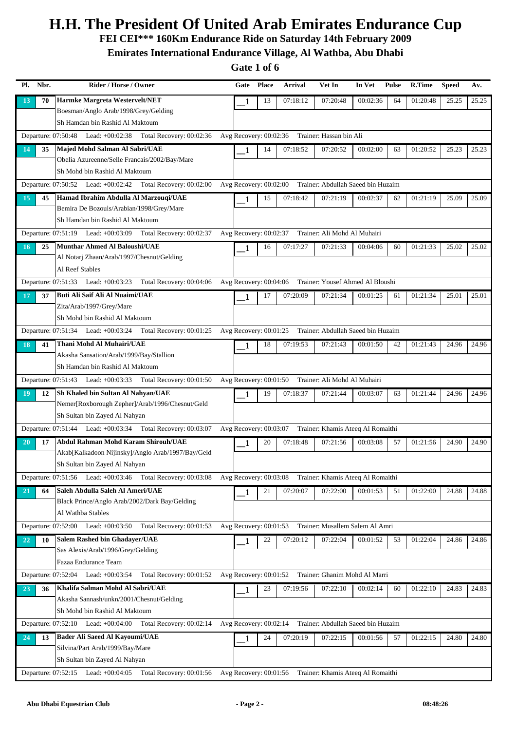**FEI CEI\*\*\* 160Km Endurance Ride on Saturday 14th February 2009**

**Emirates International Endurance Village, Al Wathba, Abu Dhabi**

| Pl.       | Nbr. | Rider / Horse / Owner                                                                                                     | Gate                     | <b>Place</b> | Arrival  | Vet In                                                   | In Vet   | <b>Pulse</b> | R.Time   | <b>Speed</b> | Av.   |
|-----------|------|---------------------------------------------------------------------------------------------------------------------------|--------------------------|--------------|----------|----------------------------------------------------------|----------|--------------|----------|--------------|-------|
| 13        | 70   | Harmke Margreta Westervelt/NET                                                                                            | 1                        | 13           | 07:18:12 | 07:20:48                                                 | 00:02:36 | 64           | 01:20:48 | 25.25        | 25.25 |
|           |      | Boesman/Anglo Arab/1998/Grey/Gelding                                                                                      |                          |              |          |                                                          |          |              |          |              |       |
|           |      | Sh Hamdan bin Rashid Al Maktoum                                                                                           |                          |              |          |                                                          |          |              |          |              |       |
|           |      | Departure: 07:50:48 Lead: +00:02:38 Total Recovery: 00:02:36                                                              | Avg Recovery: 00:02:36   |              |          | Trainer: Hassan bin Ali                                  |          |              |          |              |       |
| 14        | 35   | Majed Mohd Salman Al Sabri/UAE                                                                                            | 1                        | 14           | 07:18:52 | 07:20:52                                                 | 00:02:00 | 63           | 01:20:52 | 25.23        | 25.23 |
|           |      | Obelia Azureenne/Selle Francais/2002/Bay/Mare                                                                             |                          |              |          |                                                          |          |              |          |              |       |
|           |      | Sh Mohd bin Rashid Al Maktoum                                                                                             |                          |              |          |                                                          |          |              |          |              |       |
|           |      | Departure: 07:50:52 Lead: +00:02:42 Total Recovery: 00:02:00                                                              | Avg Recovery: $00:02:00$ |              |          | Trainer: Abdullah Saeed bin Huzaim                       |          |              |          |              |       |
| 15        | 45   | Hamad Ibrahim Abdulla Al Marzouqi/UAE                                                                                     | 1                        | 15           | 07:18:42 | 07:21:19                                                 | 00:02:37 | 62           | 01:21:19 | 25.09        | 25.09 |
|           |      | Bemira De Bozouls/Arabian/1998/Grey/Mare                                                                                  |                          |              |          |                                                          |          |              |          |              |       |
|           |      | Sh Hamdan bin Rashid Al Maktoum                                                                                           |                          |              |          |                                                          |          |              |          |              |       |
|           |      | Departure: 07:51:19 Lead: +00:03:09 Total Recovery: 00:02:37                                                              | Avg Recovery: 00:02:37   |              |          | Trainer: Ali Mohd Al Muhairi                             |          |              |          |              |       |
| 16        | 25   | <b>Munthar Ahmed Al Baloushi/UAE</b>                                                                                      | 1                        | 16           | 07:17:27 | 07:21:33                                                 | 00:04:06 | 60           | 01:21:33 | 25.02        | 25.02 |
|           |      | Al Notarj Zhaan/Arab/1997/Chesnut/Gelding<br>Al Reef Stables                                                              |                          |              |          |                                                          |          |              |          |              |       |
|           |      | Departure: 07:51:33 Lead: +00:03:23 Total Recovery: 00:04:06 Avg Recovery: 00:04:06 Trainer: Yousef Ahmed Al Bloushi      |                          |              |          |                                                          |          |              |          |              |       |
|           |      |                                                                                                                           |                          |              |          |                                                          |          |              |          |              |       |
| 17        | 37   | Buti Ali Saif Ali Al Nuaimi/UAE<br>Zita/Arab/1997/Grey/Mare                                                               | 1                        | 17           | 07:20:09 | 07:21:34                                                 | 00:01:25 | 61           | 01:21:34 | 25.01        | 25.01 |
|           |      | Sh Mohd bin Rashid Al Maktoum                                                                                             |                          |              |          |                                                          |          |              |          |              |       |
|           |      | Total Recovery: 00:01:25 Avg Recovery: 00:01:25 Trainer: Abdullah Saeed bin Huzaim<br>Departure: 07:51:34 Lead: +00:03:24 |                          |              |          |                                                          |          |              |          |              |       |
| 18        | 41   | Thani Mohd Al Muhairi/UAE                                                                                                 |                          | 18           | 07:19:53 | 07:21:43                                                 | 00:01:50 | 42           | 01:21:43 | 24.96        | 24.96 |
|           |      | Akasha Sansation/Arab/1999/Bay/Stallion                                                                                   | 1                        |              |          |                                                          |          |              |          |              |       |
|           |      | Sh Hamdan bin Rashid Al Maktoum                                                                                           |                          |              |          |                                                          |          |              |          |              |       |
|           |      | Departure: 07:51:43 Lead: +00:03:33 Total Recovery: 00:01:50                                                              | Avg Recovery: 00:01:50   |              |          | Trainer: Ali Mohd Al Muhairi                             |          |              |          |              |       |
| 19        | 12   | Sh Khaled bin Sultan Al Nahyan/UAE                                                                                        | 1                        | 19           | 07:18:37 | 07:21:44                                                 | 00:03:07 | 63           | 01:21:44 | 24.96        | 24.96 |
|           |      | Nemer[Roxborough Zepher]/Arab/1996/Chesnut/Geld                                                                           |                          |              |          |                                                          |          |              |          |              |       |
|           |      | Sh Sultan bin Zayed Al Nahyan                                                                                             |                          |              |          |                                                          |          |              |          |              |       |
|           |      | Departure: 07:51:44 Lead: +00:03:34 Total Recovery: 00:03:07                                                              | Avg Recovery: 00:03:07   |              |          | Trainer: Khamis Ateeq Al Romaithi                        |          |              |          |              |       |
| <b>20</b> | 17   | Abdul Rahman Mohd Karam Shirouh/UAE                                                                                       | 1                        | 20           | 07:18:48 | 07:21:56                                                 | 00:03:08 | 57           | 01:21:56 | 24.90        | 24.90 |
|           |      | Akab[Kalkadoon Nijinsky]/Anglo Arab/1997/Bay/Geld                                                                         |                          |              |          |                                                          |          |              |          |              |       |
|           |      | Sh Sultan bin Zayed Al Nahyan                                                                                             |                          |              |          |                                                          |          |              |          |              |       |
|           |      | Departure: 07:51:56 Lead: +00:03:46 Total Recovery: 00:03:08                                                              |                          |              |          | Avg Recovery: 00:03:08 Trainer: Khamis Ateeq Al Romaithi |          |              |          |              |       |
| 21        | 64   | Saleh Abdulla Saleh Al Ameri/UAE                                                                                          | 1                        | 21           | 07:20:07 | 07:22:00                                                 | 00:01:53 | 51           | 01:22:00 | 24.88        | 24.88 |
|           |      | Black Prince/Anglo Arab/2002/Dark Bay/Gelding                                                                             |                          |              |          |                                                          |          |              |          |              |       |
|           |      | Al Wathba Stables                                                                                                         |                          |              |          |                                                          |          |              |          |              |       |
|           |      | Departure: 07:52:00 Lead: +00:03:50<br>Total Recovery: 00:01:53                                                           | Avg Recovery: $00:01:53$ |              |          | Trainer: Musallem Salem Al Amri                          |          |              |          |              |       |
| 22        | 10   | Salem Rashed bin Ghadayer/UAE                                                                                             | 1                        | 22           | 07:20:12 | 07:22:04                                                 | 00:01:52 | 53           | 01:22:04 | 24.86        | 24.86 |
|           |      | Sas Alexis/Arab/1996/Grey/Gelding                                                                                         |                          |              |          |                                                          |          |              |          |              |       |
|           |      | Fazaa Endurance Team                                                                                                      |                          |              |          |                                                          |          |              |          |              |       |
|           |      | Departure: 07:52:04 Lead: +00:03:54 Total Recovery: 00:01:52 Avg Recovery: 00:01:52 Trainer: Ghanim Mohd Al Marri         |                          |              |          |                                                          |          |              |          |              |       |
| 23        | 36   | Khalifa Salman Mohd Al Sabri/UAE                                                                                          | 1                        | 23           | 07:19:56 | 07:22:10                                                 | 00:02:14 | 60           | 01:22:10 | 24.83        | 24.83 |
|           |      | Akasha Sannash/unkn/2001/Chesnut/Gelding<br>Sh Mohd bin Rashid Al Maktoum                                                 |                          |              |          |                                                          |          |              |          |              |       |
|           |      | Departure: 07:52:10 Lead: +00:04:00 Total Recovery: 00:02:14                                                              | Avg Recovery: 00:02:14   |              |          | Trainer: Abdullah Saeed bin Huzaim                       |          |              |          |              |       |
|           |      | <b>Bader Ali Saeed Al Kayoumi/UAE</b>                                                                                     |                          |              |          |                                                          |          |              |          |              |       |
| 24        | 13   | Silvina/Part Arab/1999/Bay/Mare                                                                                           | 1                        | 24           | 07:20:19 | 07:22:15                                                 | 00:01:56 | 57           | 01:22:15 | 24.80        | 24.80 |
|           |      | Sh Sultan bin Zayed Al Nahyan                                                                                             |                          |              |          |                                                          |          |              |          |              |       |
|           |      | Departure: 07:52:15 Lead: +00:04:05 Total Recovery: 00:01:56 Avg Recovery: 00:01:56 Trainer: Khamis Ateeq Al Romaithi     |                          |              |          |                                                          |          |              |          |              |       |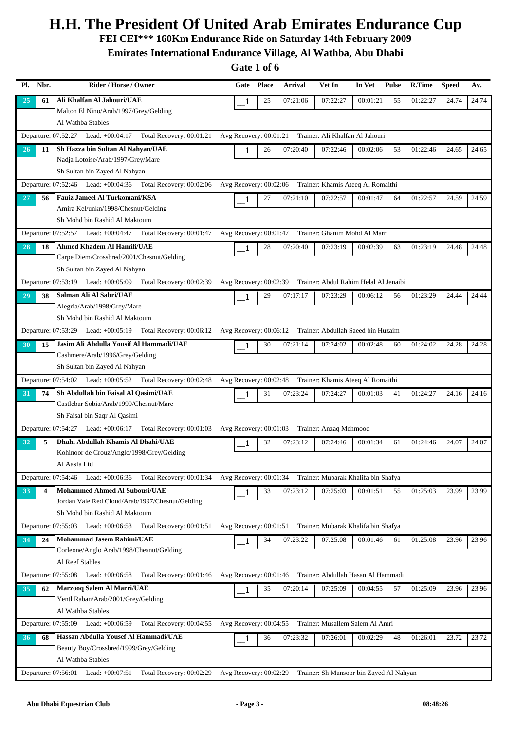**FEI CEI\*\*\* 160Km Endurance Ride on Saturday 14th February 2009**

**Emirates International Endurance Village, Al Wathba, Abu Dhabi**

| Pl. | Nbr. | Rider / Horse / Owner                                                                                                     | Gate                     | <b>Place</b> | <b>Arrival</b> | Vet In                                                     | In Vet   | <b>Pulse</b> | R.Time   | <b>Speed</b> | Av.   |
|-----|------|---------------------------------------------------------------------------------------------------------------------------|--------------------------|--------------|----------------|------------------------------------------------------------|----------|--------------|----------|--------------|-------|
| 25  | 61   | Ali Khalfan Al Jahouri/UAE                                                                                                | 1                        | 25           | 07:21:06       | 07:22:27                                                   | 00:01:21 | 55           | 01:22:27 | 24.74        | 24.74 |
|     |      | Malton El Nino/Arab/1997/Grey/Gelding                                                                                     |                          |              |                |                                                            |          |              |          |              |       |
|     |      | Al Wathba Stables                                                                                                         |                          |              |                |                                                            |          |              |          |              |       |
|     |      | Departure: 07:52:27 Lead: +00:04:17 Total Recovery: 00:01:21                                                              |                          |              |                | Avg Recovery: 00:01:21 Trainer: Ali Khalfan Al Jahouri     |          |              |          |              |       |
| 26  | 11   | Sh Hazza bin Sultan Al Nahyan/UAE                                                                                         | 1                        | 26           | 07:20:40       | 07:22:46                                                   | 00:02:06 | 53           | 01:22:46 | 24.65        | 24.65 |
|     |      | Nadja Lotoise/Arab/1997/Grey/Mare                                                                                         |                          |              |                |                                                            |          |              |          |              |       |
|     |      | Sh Sultan bin Zayed Al Nahyan                                                                                             |                          |              |                |                                                            |          |              |          |              |       |
|     |      | Departure: 07:52:46 Lead: +00:04:36 Total Recovery: 00:02:06                                                              | Avg Recovery: 00:02:06   |              |                | Trainer: Khamis Ateeq Al Romaithi                          |          |              |          |              |       |
| 27  | 56   | Fauiz Jameel Al Turkomani/KSA                                                                                             | 1                        | 27           | 07:21:10       | 07:22:57                                                   | 00:01:47 | 64           | 01:22:57 | 24.59        | 24.59 |
|     |      | Amira Kel/unkn/1998/Chesnut/Gelding                                                                                       |                          |              |                |                                                            |          |              |          |              |       |
|     |      | Sh Mohd bin Rashid Al Maktoum                                                                                             |                          |              |                |                                                            |          |              |          |              |       |
|     |      | Departure: 07:52:57 Lead: +00:04:47 Total Recovery: 00:01:47                                                              | Avg Recovery: 00:01:47   |              |                | Trainer: Ghanim Mohd Al Marri                              |          |              |          |              |       |
| 28  | 18   | Ahmed Khadem Al Hamili/UAE                                                                                                | 1                        | 28           | 07:20:40       | 07:23:19                                                   | 00:02:39 | 63           | 01:23:19 | 24.48        | 24.48 |
|     |      | Carpe Diem/Crossbred/2001/Chesnut/Gelding                                                                                 |                          |              |                |                                                            |          |              |          |              |       |
|     |      | Sh Sultan bin Zayed Al Nahyan                                                                                             |                          |              |                |                                                            |          |              |          |              |       |
|     |      | Departure: 07:53:19 Lead: +00:05:09<br>Total Recovery: 00:02:39                                                           | Avg Recovery: 00:02:39   |              |                | Trainer: Abdul Rahim Helal Al Jenaibi                      |          |              |          |              |       |
| 29  | 38   | Salman Ali Al Sabri/UAE                                                                                                   | 1                        | 29           | 07:17:17       | 07:23:29                                                   | 00:06:12 | 56           | 01:23:29 | 24.44        | 24.44 |
|     |      | Alegria/Arab/1998/Grey/Mare                                                                                               |                          |              |                |                                                            |          |              |          |              |       |
|     |      | Sh Mohd bin Rashid Al Maktoum                                                                                             |                          |              |                |                                                            |          |              |          |              |       |
|     |      | Departure: 07:53:29 Lead: +00:05:19 Total Recovery: 00:06:12 Avg Recovery: 00:06:12 Trainer: Abdullah Saeed bin Huzaim    |                          |              |                |                                                            |          |              |          |              |       |
| 30  | 15   | Jasim Ali Abdulla Yousif Al Hammadi/UAE                                                                                   | 1                        | 30           | 07:21:14       | 07:24:02                                                   | 00:02:48 | 60           | 01:24:02 | 24.28        | 24.28 |
|     |      | Cashmere/Arab/1996/Grey/Gelding                                                                                           |                          |              |                |                                                            |          |              |          |              |       |
|     |      | Sh Sultan bin Zayed Al Nahyan                                                                                             |                          |              |                |                                                            |          |              |          |              |       |
|     |      | Departure: 07:54:02 Lead: +00:05:52 Total Recovery: 00:02:48                                                              | Avg Recovery: 00:02:48   |              |                | Trainer: Khamis Ateeq Al Romaithi                          |          |              |          |              |       |
| 31  | 74   | Sh Abdullah bin Faisal Al Qasimi/UAE                                                                                      | 1                        | 31           | 07:23:24       | 07:24:27                                                   | 00:01:03 | 41           | 01:24:27 | 24.16        | 24.16 |
|     |      | Castlebar Sobia/Arab/1999/Chesnut/Mare                                                                                    |                          |              |                |                                                            |          |              |          |              |       |
|     |      | Sh Faisal bin Saqr Al Qasimi                                                                                              |                          |              |                |                                                            |          |              |          |              |       |
|     |      | Departure: 07:54:27 Lead: +00:06:17 Total Recovery: 00:01:03                                                              | Avg Recovery: 00:01:03   |              |                | Trainer: Anzaq Mehmood                                     |          |              |          |              |       |
| 32  | 5    | Dhahi Abdullah Khamis Al Dhahi/UAE                                                                                        | 1                        | 32           | 07:23:12       | 07:24:46                                                   | 00:01:34 | 61           | 01:24:46 | 24.07        | 24.07 |
|     |      | Kohinoor de Crouz/Anglo/1998/Grey/Gelding                                                                                 |                          |              |                |                                                            |          |              |          |              |       |
|     |      | Al Aasfa Ltd                                                                                                              |                          |              |                |                                                            |          |              |          |              |       |
|     |      | Departure: 07:54:46 Lead: +00:06:36 Total Recovery: 00:01:34                                                              |                          |              |                | Avg Recovery: 00:01:34 Trainer: Mubarak Khalifa bin Shafya |          |              |          |              |       |
| 33  | 4    | <b>Mohammed Ahmed Al Subousi/UAE</b>                                                                                      | 1                        | 33           | 07:23:12       | 07:25:03                                                   | 00:01:51 | 55           | 01:25:03 | 23.99        | 23.99 |
|     |      | Jordan Vale Red Cloud/Arab/1997/Chesnut/Gelding<br>Sh Mohd bin Rashid Al Maktoum                                          |                          |              |                |                                                            |          |              |          |              |       |
|     |      |                                                                                                                           |                          |              |                |                                                            |          |              |          |              |       |
|     |      | Departure: 07:55:03 Lead: +00:06:53 Total Recovery: 00:01:51                                                              |                          |              |                | Avg Recovery: 00:01:51 Trainer: Mubarak Khalifa bin Shafya |          |              |          |              |       |
| 34  | 24   | Mohammad Jasem Rahimi/UAE<br>Corleone/Anglo Arab/1998/Chesnut/Gelding                                                     | 1                        | 34           | 07:23:22       | 07:25:08                                                   | 00:01:46 | 61           | 01:25:08 | 23.96        | 23.96 |
|     |      | Al Reef Stables                                                                                                           |                          |              |                |                                                            |          |              |          |              |       |
|     |      | Departure: 07:55:08 Lead: +00:06:58<br>Total Recovery: 00:01:46 Avg Recovery: 00:01:46 Trainer: Abdullah Hasan Al Hammadi |                          |              |                |                                                            |          |              |          |              |       |
|     |      | Marzooq Salem Al Marri/UAE                                                                                                |                          |              |                |                                                            |          |              |          |              |       |
| 35  | 62   | Yentl Raban/Arab/2001/Grey/Gelding                                                                                        | 1                        | 35           | 07:20:14       | 07:25:09                                                   | 00:04:55 | 57           | 01:25:09 | 23.96        | 23.96 |
|     |      | Al Wathba Stables                                                                                                         |                          |              |                |                                                            |          |              |          |              |       |
|     |      | Departure: 07:55:09 Lead: +00:06:59<br>Total Recovery: 00:04:55                                                           | Avg Recovery: $00:04:55$ |              |                | Trainer: Musallem Salem Al Amri                            |          |              |          |              |       |
| 36  | 68   | Hassan Abdulla Yousef Al Hammadi/UAE                                                                                      |                          | 36           | 07:23:32       | 07:26:01                                                   | 00:02:29 | 48           | 01:26:01 | 23.72        | 23.72 |
|     |      | Beauty Boy/Crossbred/1999/Grey/Gelding                                                                                    | 1                        |              |                |                                                            |          |              |          |              |       |
|     |      | Al Wathba Stables                                                                                                         |                          |              |                |                                                            |          |              |          |              |       |
|     |      | Departure: 07:56:01 Lead: +00:07:51<br>Total Recovery: 00:02:29                                                           | Avg Recovery: 00:02:29   |              |                | Trainer: Sh Mansoor bin Zayed Al Nahyan                    |          |              |          |              |       |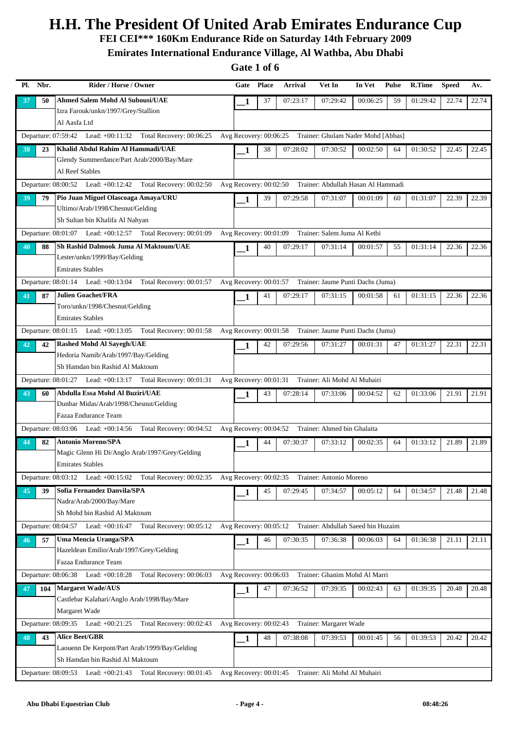**FEI CEI\*\*\* 160Km Endurance Ride on Saturday 14th February 2009**

**Emirates International Endurance Village, Al Wathba, Abu Dhabi**

| Pl. | Nbr. | Rider / Horse / Owner                                                     | Gate                     | <b>Place</b> | <b>Arrival</b> | Vet In                                                    | In Vet   | Pulse | R.Time   | <b>Speed</b> | Av.   |
|-----|------|---------------------------------------------------------------------------|--------------------------|--------------|----------------|-----------------------------------------------------------|----------|-------|----------|--------------|-------|
| 37  | 50   | Ahmed Salem Mohd Al Subousi/UAE                                           | 1                        | 37           | 07:23:17       | 07:29:42                                                  | 00:06:25 | 59    | 01:29:42 | 22.74        | 22.74 |
|     |      | Izra Farouk/unkn/1997/Grey/Stallion                                       |                          |              |                |                                                           |          |       |          |              |       |
|     |      | Al Aasfa Ltd                                                              |                          |              |                |                                                           |          |       |          |              |       |
|     |      | Departure: 07:59:42 Lead: +00:11:32 Total Recovery: 00:06:25              | Avg Recovery: 00:06:25   |              |                | Trainer: Ghulam Nader Mohd [Abbas]                        |          |       |          |              |       |
| 38  | 23   | Khalid Abdul Rahim Al Hammadi/UAE                                         | 1                        | 38           | 07:28:02       | 07:30:52                                                  | 00:02:50 | 64    | 01:30:52 | 22.45        | 22.45 |
|     |      | Glendy Summerdance/Part Arab/2000/Bay/Mare                                |                          |              |                |                                                           |          |       |          |              |       |
|     |      | Al Reef Stables                                                           |                          |              |                |                                                           |          |       |          |              |       |
|     |      | Departure: 08:00:52 Lead: +00:12:42 Total Recovery: 00:02:50              |                          |              |                | Avg Recovery: 00:02:50 Trainer: Abdullah Hasan Al Hammadi |          |       |          |              |       |
| 39  | 79   | Pio Juan Miguel Olascoaga Amaya/URU                                       | 1                        | 39           | 07:29:58       | 07:31:07                                                  | 00:01:09 | 60    | 01:31:07 | 22.39        | 22.39 |
|     |      | Ultimo/Arab/1998/Chesnut/Gelding                                          |                          |              |                |                                                           |          |       |          |              |       |
|     |      | Sh Sultan bin Khalifa Al Nahyan                                           |                          |              |                |                                                           |          |       |          |              |       |
|     |      | Departure: $08:01:07$ Lead: $+00:12:57$<br>Total Recovery: 00:01:09       | Avg Recovery: 00:01:09   |              |                | Trainer: Salem Juma Al Ketbi                              |          |       |          |              |       |
| 40  | 88   | Sh Rashid Dalmook Juma Al Maktoum/UAE                                     | 1                        | 40           | 07:29:17       | 07:31:14                                                  | 00:01:57 | 55    | 01:31:14 | 22.36        | 22.36 |
|     |      | Lester/unkn/1999/Bay/Gelding                                              |                          |              |                |                                                           |          |       |          |              |       |
|     |      | <b>Emirates Stables</b>                                                   |                          |              |                |                                                           |          |       |          |              |       |
|     |      | Total Recovery: 00:01:57<br>Departure: $08:01:14$ Lead: $+00:13:04$       |                          |              |                | Avg Recovery: 00:01:57 Trainer: Jaume Punti Dachs (Juma)  |          |       |          |              |       |
| 41  | 87   | <b>Julien Goachet/FRA</b>                                                 | 1                        | 41           | 07:29:17       | 07:31:15                                                  | 00:01:58 | 61    | 01:31:15 | 22.36        | 22.36 |
|     |      | Toro/unkn/1998/Chesnut/Gelding                                            |                          |              |                |                                                           |          |       |          |              |       |
|     |      | <b>Emirates Stables</b>                                                   |                          |              |                |                                                           |          |       |          |              |       |
|     |      | Departure: 08:01:15 Lead: +00:13:05 Total Recovery: 00:01:58              | Avg Recovery: $00:01:58$ |              |                | Trainer: Jaume Punti Dachs (Juma)                         |          |       |          |              |       |
| 42  | 42   | <b>Rashed Mohd Al Sayegh/UAE</b>                                          | 1                        | 42           | 07:29:56       | 07:31:27                                                  | 00:01:31 | 47    | 01:31:27 | 22.31        | 22.31 |
|     |      | Hedoria Namib/Arab/1997/Bay/Gelding                                       |                          |              |                |                                                           |          |       |          |              |       |
|     |      | Sh Hamdan bin Rashid Al Maktoum                                           |                          |              |                |                                                           |          |       |          |              |       |
|     |      | Departure: 08:01:27 Lead: +00:13:17 Total Recovery: 00:01:31              | Avg Recovery: 00:01:31   |              |                | Trainer: Ali Mohd Al Muhairi                              |          |       |          |              |       |
| 43  | 60   | Abdulla Essa Mohd Al Buziri/UAE<br>Dunbar Midas/Arab/1998/Chesnut/Gelding | 1                        | 43           | 07:28:14       | 07:33:06                                                  | 00:04:52 | 62    | 01:33:06 | 21.91        | 21.91 |
|     |      | Fazaa Endurance Team                                                      |                          |              |                |                                                           |          |       |          |              |       |
|     |      | Total Recovery: 00:04:52<br>Departure: $08:03:06$ Lead: $+00:14:56$       |                          |              |                | Avg Recovery: 00:04:52 Trainer: Ahmed bin Ghalaita        |          |       |          |              |       |
|     |      | <b>Antonio Moreno/SPA</b>                                                 |                          |              |                |                                                           |          |       |          |              |       |
| 44  | 82   | Magic Glenn Hi Di/Anglo Arab/1997/Grey/Gelding                            | 1                        | 44           | 07:30:37       | 07:33:12                                                  | 00:02:35 | 64    | 01:33:12 | 21.89        | 21.89 |
|     |      | <b>Emirates Stables</b>                                                   |                          |              |                |                                                           |          |       |          |              |       |
|     |      | Departure: 08:03:12 Lead: +00:15:02 Total Recovery: 00:02:35              |                          |              |                | Avg Recovery: 00:02:35 Trainer: Antonio Moreno            |          |       |          |              |       |
|     |      | Sofia Fernandez Danvila/SPA                                               |                          |              |                |                                                           |          |       |          |              |       |
| 45  | 39   | Nadra/Arab/2000/Bay/Mare                                                  | 1                        | 45           | 07:29:45       | 07:34:57                                                  | 00:05:12 | 64    | 01:34:57 | 21.48        | 21.48 |
|     |      | Sh Mohd bin Rashid Al Maktoum                                             |                          |              |                |                                                           |          |       |          |              |       |
|     |      | Departure: $08:04:57$ Lead: $+00:16:47$<br>Total Recovery: 00:05:12       | Avg Recovery: $00:05:12$ |              |                | Trainer: Abdullah Saeed bin Huzaim                        |          |       |          |              |       |
| 46  | 57   | <b>Uma Mencia Uranga/SPA</b>                                              |                          | 46           | 07:30:35       | 07:36:38                                                  | 00:06:03 | 64    | 01:36:38 | 21.11        | 21.11 |
|     |      | Hazeldean Emilio/Arab/1997/Grey/Gelding                                   | 1                        |              |                |                                                           |          |       |          |              |       |
|     |      | Fazaa Endurance Team                                                      |                          |              |                |                                                           |          |       |          |              |       |
|     |      | Total Recovery: 00:06:03<br>Departure: 08:06:38 Lead: +00:18:28           | Avg Recovery: 00:06:03   |              |                | Trainer: Ghanim Mohd Al Marri                             |          |       |          |              |       |
| 47  | 104  | <b>Margaret Wade/AUS</b>                                                  | 1                        | 47           | 07:36:52       | 07:39:35                                                  | 00:02:43 | 63    | 01:39:35 | 20.48        | 20.48 |
|     |      | Castlebar Kalahari/Anglo Arab/1998/Bay/Mare                               |                          |              |                |                                                           |          |       |          |              |       |
|     |      | Margaret Wade                                                             |                          |              |                |                                                           |          |       |          |              |       |
|     |      | Departure: 08:09:35 Lead: +00:21:25<br>Total Recovery: 00:02:43           | Avg Recovery: 00:02:43   |              |                | Trainer: Margaret Wade                                    |          |       |          |              |       |
| 48  | 43   | <b>Alice Beet/GBR</b>                                                     | 1                        | 48           | 07:38:08       | 07:39:53                                                  | 00:01:45 | 56    | 01:39:53 | 20.42        | 20.42 |
|     |      | Laouenn De Kerpont/Part Arab/1999/Bay/Gelding                             |                          |              |                |                                                           |          |       |          |              |       |
|     |      | Sh Hamdan bin Rashid Al Maktoum                                           |                          |              |                |                                                           |          |       |          |              |       |
|     |      | Departure: 08:09:53 Lead: +00:21:43 Total Recovery: 00:01:45              |                          |              |                | Avg Recovery: 00:01:45 Trainer: Ali Mohd Al Muhairi       |          |       |          |              |       |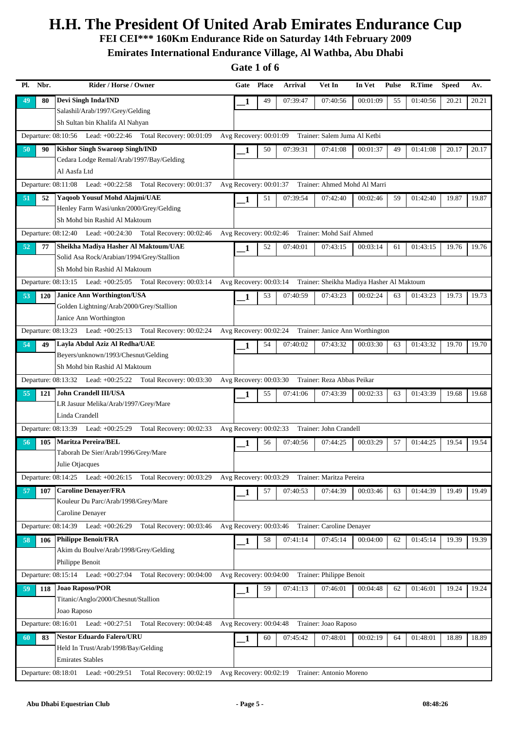**FEI CEI\*\*\* 160Km Endurance Ride on Saturday 14th February 2009**

**Emirates International Endurance Village, Al Wathba, Abu Dhabi**

| Nbr.<br>Pl.      | Rider / Horse / Owner                                                                                        | Gate                   | <b>Place</b> | <b>Arrival</b>                                                   | Vet In                          | In Vet   | <b>Pulse</b> | R.Time   | <b>Speed</b> | Av.   |
|------------------|--------------------------------------------------------------------------------------------------------------|------------------------|--------------|------------------------------------------------------------------|---------------------------------|----------|--------------|----------|--------------|-------|
| 49<br>80         | <b>Devi Singh Inda/IND</b>                                                                                   | 1                      | 49           | 07:39:47                                                         | 07:40:56                        | 00:01:09 | 55           | 01:40:56 | 20.21        | 20.21 |
|                  | Salashil/Arab/1997/Grey/Gelding                                                                              |                        |              |                                                                  |                                 |          |              |          |              |       |
|                  | Sh Sultan bin Khalifa Al Nahyan                                                                              |                        |              |                                                                  |                                 |          |              |          |              |       |
|                  | Departure: 08:10:56 Lead: +00:22:46 Total Recovery: 00:01:09                                                 | Avg Recovery: 00:01:09 |              |                                                                  | Trainer: Salem Juma Al Ketbi    |          |              |          |              |       |
| 50<br>90         | <b>Kishor Singh Swaroop Singh/IND</b>                                                                        | 1                      | 50           | 07:39:31                                                         | 07:41:08                        | 00:01:37 | 49           | 01:41:08 | 20.17        | 20.17 |
|                  | Cedara Lodge Remal/Arab/1997/Bay/Gelding                                                                     |                        |              |                                                                  |                                 |          |              |          |              |       |
|                  | Al Aasfa Ltd                                                                                                 |                        |              |                                                                  |                                 |          |              |          |              |       |
|                  | Departure: 08:11:08 Lead: +00:22:58<br>Total Recovery: 00:01:37                                              | Avg Recovery: 00:01:37 |              |                                                                  | Trainer: Ahmed Mohd Al Marri    |          |              |          |              |       |
| 51<br>52         | <b>Yaqoob Yousuf Mohd Alajmi/UAE</b>                                                                         | 1                      | 51           | 07:39:54                                                         | 07:42:40                        | 00:02:46 | 59           | 01:42:40 | 19.87        | 19.87 |
|                  | Henley Farm Wasi/unkn/2000/Grey/Gelding                                                                      |                        |              |                                                                  |                                 |          |              |          |              |       |
|                  | Sh Mohd bin Rashid Al Maktoum                                                                                |                        |              |                                                                  |                                 |          |              |          |              |       |
|                  | Departure: 08:12:40 Lead: +00:24:30 Total Recovery: 00:02:46                                                 | Avg Recovery: 00:02:46 |              |                                                                  | Trainer: Mohd Saif Ahmed        |          |              |          |              |       |
| 77<br>52         | Sheikha Madiya Hasher Al Maktoum/UAE                                                                         | 1                      | 52           | 07:40:01                                                         | 07:43:15                        | 00:03:14 | 61           | 01:43:15 | 19.76        | 19.76 |
|                  | Solid Asa Rock/Arabian/1994/Grey/Stallion                                                                    |                        |              |                                                                  |                                 |          |              |          |              |       |
|                  | Sh Mohd bin Rashid Al Maktoum                                                                                |                        |              |                                                                  |                                 |          |              |          |              |       |
|                  | Departure: 08:13:15 Lead: +00:25:05 Total Recovery: 00:03:14                                                 |                        |              | Avg Recovery: 00:03:14 Trainer: Sheikha Madiya Hasher Al Maktoum |                                 |          |              |          |              |       |
| 53<br><b>120</b> | <b>Janice Ann Worthington/USA</b>                                                                            | 1                      | 53           | 07:40:59                                                         | 07:43:23                        | 00:02:24 | 63           | 01:43:23 | 19.73        | 19.73 |
|                  | Golden Lightning/Arab/2000/Grey/Stallion                                                                     |                        |              |                                                                  |                                 |          |              |          |              |       |
|                  | Janice Ann Worthington                                                                                       |                        |              |                                                                  |                                 |          |              |          |              |       |
|                  | Departure: $08:13:23$ Lead: $+00:25:13$<br>Total Recovery: 00:02:24                                          | Avg Recovery: 00:02:24 |              |                                                                  | Trainer: Janice Ann Worthington |          |              |          |              |       |
| 54<br>49         | Layla Abdul Aziz Al Redha/UAE                                                                                | 1                      | 54           | 07:40:02                                                         | 07:43:32                        | 00:03:30 | 63           | 01:43:32 | 19.70        | 19.70 |
|                  | Beyers/unknown/1993/Chesnut/Gelding                                                                          |                        |              |                                                                  |                                 |          |              |          |              |       |
|                  | Sh Mohd bin Rashid Al Maktoum                                                                                |                        |              |                                                                  |                                 |          |              |          |              |       |
|                  | Departure: 08:13:32 Lead: +00:25:22 Total Recovery: 00:03:30                                                 | Avg Recovery: 00:03:30 |              |                                                                  | Trainer: Reza Abbas Peikar      |          |              |          |              |       |
| 55<br>121        | <b>John Crandell III/USA</b>                                                                                 | 1                      | 55           | 07:41:06                                                         | 07:43:39                        | 00:02:33 | 63           | 01:43:39 | 19.68        | 19.68 |
|                  | LR Jasuur Melika/Arab/1997/Grey/Mare                                                                         |                        |              |                                                                  |                                 |          |              |          |              |       |
|                  | Linda Crandell                                                                                               |                        |              |                                                                  |                                 |          |              |          |              |       |
|                  | Departure: 08:13:39 Lead: +00:25:29<br>Total Recovery: 00:02:33                                              | Avg Recovery: 00:02:33 |              |                                                                  | Trainer: John Crandell          |          |              |          |              |       |
| 105<br>56        | <b>Maritza Pereira/BEL</b>                                                                                   | 1                      | 56           | 07:40:56                                                         | 07:44:25                        | 00:03:29 | 57           | 01:44:25 | 19.54        | 19.54 |
|                  | Taborah De Sier/Arab/1996/Grey/Mare                                                                          |                        |              |                                                                  |                                 |          |              |          |              |       |
|                  | Julie Otjacques                                                                                              |                        |              |                                                                  |                                 |          |              |          |              |       |
|                  | Departure: 08:14:25 Lead: +00:26:15 Total Recovery: 00:03:29 Avg Recovery: 00:03:29 Trainer: Maritza Pereira |                        |              |                                                                  |                                 |          |              |          |              |       |
| 57<br>107        | <b>Caroline Denayer/FRA</b><br>Kouleur Du Parc/Arab/1998/Grey/Mare                                           | 1                      | 57           | 07:40:53                                                         | 07:44:39                        | 00:03:46 | 63           | 01:44:39 | 19.49        | 19.49 |
|                  | Caroline Denayer                                                                                             |                        |              |                                                                  |                                 |          |              |          |              |       |
|                  | Departure: 08:14:39 Lead: +00:26:29<br>Total Recovery: 00:03:46                                              |                        |              | Avg Recovery: 00:03:46 Trainer: Caroline Denayer                 |                                 |          |              |          |              |       |
|                  | <b>Philippe Benoit/FRA</b>                                                                                   |                        |              |                                                                  |                                 |          |              |          |              |       |
| 58<br>106        | Akim du Boulve/Arab/1998/Grey/Gelding                                                                        | 1                      | 58           | 07:41:14                                                         | 07:45:14                        | 00:04:00 | 62           | 01:45:14 | 19.39        | 19.39 |
|                  | Philippe Benoit                                                                                              |                        |              |                                                                  |                                 |          |              |          |              |       |
|                  | Departure: $08:15:14$ Lead: $+00:27:04$<br>Total Recovery: 00:04:00 Avg Recovery: 00:04:00                   |                        |              |                                                                  | Trainer: Philippe Benoit        |          |              |          |              |       |
|                  | <b>Joao Raposo/POR</b>                                                                                       |                        |              | 07:41:13                                                         | 07:46:01                        |          | 62           | 01:46:01 |              | 19.24 |
| 59<br>118        | Titanic/Anglo/2000/Chesnut/Stallion                                                                          | 1                      | 59           |                                                                  |                                 | 00:04:48 |              |          | 19.24        |       |
|                  | Joao Raposo                                                                                                  |                        |              |                                                                  |                                 |          |              |          |              |       |
|                  | Departure: 08:16:01 Lead: +00:27:51 Total Recovery: 00:04:48                                                 | Avg Recovery: 00:04:48 |              |                                                                  | Trainer: Joao Raposo            |          |              |          |              |       |
| 83<br>60         | <b>Nestor Eduardo Falero/URU</b>                                                                             | 1                      | 60           | 07:45:42                                                         | 07:48:01                        | 00:02:19 | 64           | 01:48:01 | 18.89        | 18.89 |
|                  | Held In Trust/Arab/1998/Bay/Gelding                                                                          |                        |              |                                                                  |                                 |          |              |          |              |       |
|                  | <b>Emirates Stables</b>                                                                                      |                        |              |                                                                  |                                 |          |              |          |              |       |
|                  | Departure: 08:18:01 Lead: +00:29:51 Total Recovery: 00:02:19                                                 |                        |              | Avg Recovery: 00:02:19 Trainer: Antonio Moreno                   |                                 |          |              |          |              |       |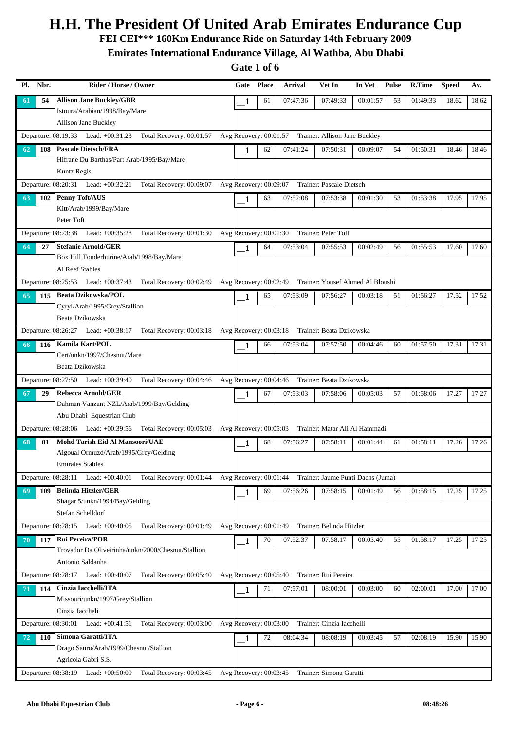**FEI CEI\*\*\* 160Km Endurance Ride on Saturday 14th February 2009**

**Emirates International Endurance Village, Al Wathba, Abu Dhabi**

| Nbr.<br>Pl. |     | Rider / Horse / Owner                                                                                                 | Gate                   | <b>Place</b> | Arrival  | Vet In                                                  | In Vet   | <b>Pulse</b> | R.Time   | <b>Speed</b> | Av.   |
|-------------|-----|-----------------------------------------------------------------------------------------------------------------------|------------------------|--------------|----------|---------------------------------------------------------|----------|--------------|----------|--------------|-------|
| -61         | 54  | <b>Allison Jane Buckley/GBR</b>                                                                                       | 1                      | 61           | 07:47:36 | 07:49:33                                                | 00:01:57 | 53           | 01:49:33 | 18.62        | 18.62 |
|             |     | Istoura/Arabian/1998/Bay/Mare                                                                                         |                        |              |          |                                                         |          |              |          |              |       |
|             |     | <b>Allison Jane Buckley</b>                                                                                           |                        |              |          |                                                         |          |              |          |              |       |
|             |     | Departure: 08:19:33 Lead: +00:31:23<br>Total Recovery: 00:01:57                                                       |                        |              |          | Avg Recovery: 00:01:57 Trainer: Allison Jane Buckley    |          |              |          |              |       |
| 62          | 108 | <b>Pascale Dietsch/FRA</b>                                                                                            | 1                      | 62           | 07:41:24 | 07:50:31                                                | 00:09:07 | 54           | 01:50:31 | 18.46        | 18.46 |
|             |     | Hifrane Du Barthas/Part Arab/1995/Bay/Mare                                                                            |                        |              |          |                                                         |          |              |          |              |       |
|             |     | Kuntz Regis                                                                                                           |                        |              |          |                                                         |          |              |          |              |       |
|             |     | Departure: 08:20:31 Lead: +00:32:21<br>Total Recovery: 00:09:07                                                       | Avg Recovery: 00:09:07 |              |          | Trainer: Pascale Dietsch                                |          |              |          |              |       |
| 63          | 102 | <b>Penny Toft/AUS</b>                                                                                                 | 1                      | 63           | 07:52:08 | 07:53:38                                                | 00:01:30 | 53           | 01:53:38 | 17.95        | 17.95 |
|             |     | Kitt/Arab/1999/Bay/Mare<br>Peter Toft                                                                                 |                        |              |          |                                                         |          |              |          |              |       |
|             |     |                                                                                                                       |                        |              |          |                                                         |          |              |          |              |       |
|             |     | Departure: 08:23:38 Lead: +00:35:28<br>Total Recovery: 00:01:30                                                       | Avg Recovery: 00:01:30 |              |          | Trainer: Peter Toft                                     |          |              |          |              |       |
| 64          | 27  | <b>Stefanie Arnold/GER</b><br>Box Hill Tonderburine/Arab/1998/Bay/Mare                                                | 1                      | 64           | 07:53:04 | 07:55:53                                                | 00:02:49 | 56           | 01:55:53 | 17.60        | 17.60 |
|             |     | Al Reef Stables                                                                                                       |                        |              |          |                                                         |          |              |          |              |       |
|             |     | Total Recovery: 00:02:49<br>Departure: 08:25:53 Lead: +00:37:43                                                       |                        |              |          | Avg Recovery: 00:02:49 Trainer: Yousef Ahmed Al Bloushi |          |              |          |              |       |
|             |     | <b>Beata Dzikowska/POL</b>                                                                                            |                        |              |          |                                                         |          |              |          |              |       |
| 65          | 115 | Cyryl/Arab/1995/Grey/Stallion                                                                                         | 1                      | 65           | 07:53:09 | 07:56:27                                                | 00:03:18 | 51           | 01:56:27 | 17.52        | 17.52 |
|             |     | Beata Dzikowska                                                                                                       |                        |              |          |                                                         |          |              |          |              |       |
|             |     | Departure: 08:26:27 Lead: +00:38:17<br>Total Recovery: 00:03:18                                                       | Avg Recovery: 00:03:18 |              |          | Trainer: Beata Dzikowska                                |          |              |          |              |       |
| 66          | 116 | <b>Kamila Kart/POL</b>                                                                                                |                        | 66           | 07:53:04 | 07:57:50                                                | 00:04:46 | 60           | 01:57:50 | 17.31        | 17.31 |
|             |     | Cert/unkn/1997/Chesnut/Mare                                                                                           | 1                      |              |          |                                                         |          |              |          |              |       |
|             |     | Beata Dzikowska                                                                                                       |                        |              |          |                                                         |          |              |          |              |       |
|             |     | Departure: 08:27:50 Lead: +00:39:40<br>Total Recovery: 00:04:46                                                       | Avg Recovery: 00:04:46 |              |          | Trainer: Beata Dzikowska                                |          |              |          |              |       |
| 67          | 29  | <b>Rebecca Arnold/GER</b>                                                                                             | 1                      | 67           | 07:53:03 | 07:58:06                                                | 00:05:03 | 57           | 01:58:06 | 17.27        | 17.27 |
|             |     | Dahman Vanzant NZL/Arab/1999/Bay/Gelding                                                                              |                        |              |          |                                                         |          |              |          |              |       |
|             |     | Abu Dhabi Equestrian Club                                                                                             |                        |              |          |                                                         |          |              |          |              |       |
|             |     | Departure: 08:28:06 Lead: +00:39:56<br>Total Recovery: 00:05:03                                                       | Avg Recovery: 00:05:03 |              |          | Trainer: Matar Ali Al Hammadi                           |          |              |          |              |       |
| 68          | 81  | Mohd Tarish Eid Al Mansoori/UAE                                                                                       | 1                      | 68           | 07:56:27 | 07:58:11                                                | 00:01:44 | 61           | 01:58:11 | 17.26        | 17.26 |
|             |     | Aigoual Ormuzd/Arab/1995/Grey/Gelding                                                                                 |                        |              |          |                                                         |          |              |          |              |       |
|             |     | Emirates Stables                                                                                                      |                        |              |          |                                                         |          |              |          |              |       |
|             |     | Departure: 08:28:11 Lead: +00:40:01 Total Recovery: 00:01:44 Avg Recovery: 00:01:44 Trainer: Jaume Punti Dachs (Juma) |                        |              |          |                                                         |          |              |          |              |       |
| 69          | 109 | <b>Belinda Hitzler/GER</b>                                                                                            | 1                      | 69           | 07:56:26 | 07:58:15                                                | 00:01:49 | 56           | 01:58:15 | 17.25        | 17.25 |
|             |     | Shagar 5/unkn/1994/Bay/Gelding                                                                                        |                        |              |          |                                                         |          |              |          |              |       |
|             |     | Stefan Schelldorf                                                                                                     |                        |              |          |                                                         |          |              |          |              |       |
|             |     | Total Recovery: 00:01:49<br>Departure: $08:28:15$ Lead: $+00:40:05$                                                   |                        |              |          | Avg Recovery: 00:01:49 Trainer: Belinda Hitzler         |          |              |          |              |       |
| 70          | 117 | <b>Rui Pereira/POR</b>                                                                                                | 1                      | 70           | 07:52:37 | 07:58:17                                                | 00:05:40 | 55           | 01:58:17 | 17.25        | 17.25 |
|             |     | Trovador Da Oliveirinha/unkn/2000/Chesnut/Stallion                                                                    |                        |              |          |                                                         |          |              |          |              |       |
|             |     | Antonio Saldanha                                                                                                      |                        |              |          |                                                         |          |              |          |              |       |
|             |     | Departure: 08:28:17 Lead: +00:40:07<br>Total Recovery: 00:05:40                                                       | Avg Recovery: 00:05:40 |              |          | Trainer: Rui Pereira                                    |          |              |          |              |       |
| 71          | 114 | Cinzia Iacchelli/ITA                                                                                                  | 1                      | 71           | 07:57:01 | 08:00:01                                                | 00:03:00 | 60           | 02:00:01 | 17.00        | 17.00 |
|             |     | Missouri/unkn/1997/Grey/Stallion<br>Cinzia Iaccheli                                                                   |                        |              |          |                                                         |          |              |          |              |       |
|             |     |                                                                                                                       |                        |              |          |                                                         |          |              |          |              |       |
|             |     | Total Recovery: 00:03:00<br>Departure: 08:30:01 Lead: +00:41:51                                                       | Avg Recovery: 00:03:00 |              |          | Trainer: Cinzia Iacchelli                               |          |              |          |              |       |
| 72          | 110 | Simona Garatti/ITA<br>Drago Sauro/Arab/1999/Chesnut/Stallion                                                          | 1                      | 72           | 08:04:34 | 08:08:19                                                | 00:03:45 | 57           | 02:08:19 | 15.90        | 15.90 |
|             |     | Agricola Gabri S.S.                                                                                                   |                        |              |          |                                                         |          |              |          |              |       |
|             |     | Departure: 08:38:19 Lead: +00:50:09<br>Total Recovery: 00:03:45                                                       | Avg Recovery: 00:03:45 |              |          | Trainer: Simona Garatti                                 |          |              |          |              |       |